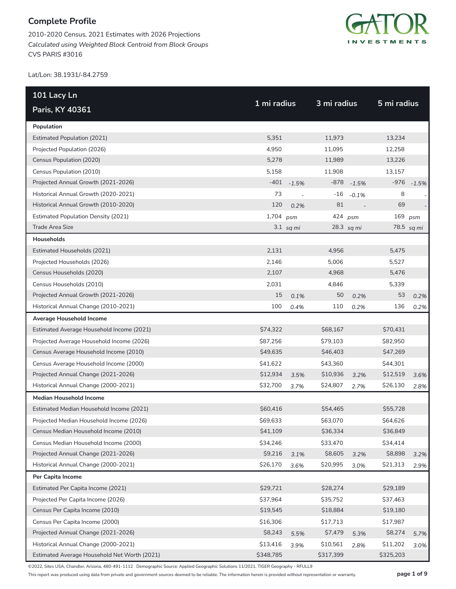2010-2020 Census, 2021 Estimates with 2026 Projections *Calculated using Weighted Block Centroid from Block Groups* CVS PARIS #3016



Lat/Lon: 38.1931/-84.2759

| 101 Lacy Ln                                  |             |                |             |            |             |            |
|----------------------------------------------|-------------|----------------|-------------|------------|-------------|------------|
| Paris, KY 40361                              | 1 mi radius |                | 3 mi radius |            | 5 mi radius |            |
| Population                                   |             |                |             |            |             |            |
| <b>Estimated Population (2021)</b>           | 5,351       |                | 11,973      |            | 13,234      |            |
| Projected Population (2026)                  | 4,950       |                | 11,095      |            | 12,258      |            |
| Census Population (2020)                     | 5,278       |                | 11,989      |            | 13,226      |            |
| Census Population (2010)                     | 5,158       |                | 11,908      |            | 13,157      |            |
| Projected Annual Growth (2021-2026)          | $-401$      | $-1.5%$        | $-878$      | $-1.5%$    | $-976$      | $-1.5%$    |
| Historical Annual Growth (2020-2021)         | 73          | $\overline{a}$ | $-16$       | $-0.1%$    | 8           |            |
| Historical Annual Growth (2010-2020)         | 120         | 0.2%           | 81          |            | 69          |            |
| <b>Estimated Population Density (2021)</b>   | $1,704$ psm |                | 424 psm     |            | 169         | psm        |
| Trade Area Size                              |             | $3.1$ sq mi    |             | 28.3 sq mi |             | 78.5 sq mi |
| Households                                   |             |                |             |            |             |            |
| Estimated Households (2021)                  | 2,131       |                | 4,956       |            | 5,475       |            |
| Projected Households (2026)                  | 2,146       |                | 5,006       |            | 5,527       |            |
| Census Households (2020)                     | 2,107       |                | 4,968       |            | 5,476       |            |
| Census Households (2010)                     | 2,031       |                | 4,846       |            | 5,339       |            |
| Projected Annual Growth (2021-2026)          | 15          | 0.1%           | 50          | 0.2%       | 53          | 0.2%       |
| Historical Annual Change (2010-2021)         | 100         | 0.4%           | 110         | 0.2%       | 136         | 0.2%       |
| Average Household Income                     |             |                |             |            |             |            |
| Estimated Average Household Income (2021)    | \$74,322    |                | \$68,167    |            | \$70,431    |            |
| Projected Average Household Income (2026)    | \$87,256    |                | \$79,103    |            | \$82,950    |            |
| Census Average Household Income (2010)       | \$49,635    |                | \$46,403    |            | \$47,269    |            |
| Census Average Household Income (2000)       | \$41,622    |                | \$43,360    |            | \$44,301    |            |
| Projected Annual Change (2021-2026)          | \$12,934    | 3.5%           | \$10,936    | 3.2%       | \$12,519    | 3.6%       |
| Historical Annual Change (2000-2021)         | \$32,700    | 3.7%           | \$24,807    | 2.7%       | \$26,130    | 2.8%       |
| <b>Median Household Income</b>               |             |                |             |            |             |            |
| Estimated Median Household Income (2021)     | \$60,416    |                | \$54,465    |            | \$55,728    |            |
| Projected Median Household Income (2026)     | \$69,633    |                | \$63,070    |            | \$64,626    |            |
| Census Median Household Income (2010)        | \$41,109    |                | \$36,334    |            | \$36,849    |            |
| Census Median Household Income (2000)        | \$34,246    |                | \$33,470    |            | \$34,414    |            |
| Projected Annual Change (2021-2026)          | \$9,216     | 3.1%           | \$8,605     | 3.2%       | \$8,898     | 3.2%       |
| Historical Annual Change (2000-2021)         | \$26,170    | 3.6%           | \$20,995    | 3.0%       | \$21,313    | 2.9%       |
| Per Capita Income                            |             |                |             |            |             |            |
| Estimated Per Capita Income (2021)           | \$29,721    |                | \$28,274    |            | \$29,189    |            |
| Projected Per Capita Income (2026)           | \$37,964    |                | \$35,752    |            | \$37,463    |            |
| Census Per Capita Income (2010)              | \$19,545    |                | \$18,884    |            | \$19,180    |            |
| Census Per Capita Income (2000)              | \$16,306    |                | \$17,713    |            | \$17,987    |            |
| Projected Annual Change (2021-2026)          | \$8,243     | 5.5%           | \$7,479     | 5.3%       | \$8,274     | 5.7%       |
| Historical Annual Change (2000-2021)         | \$13,416    | 3.9%           | \$10,561    | 2.8%       | \$11,202    | 3.0%       |
| Estimated Average Household Net Worth (2021) | \$348,785   |                | \$317,399   |            | \$325,203   |            |

©2022, Sites USA, Chandler, Arizona, 480-491-1112 Demographic Source: Applied Geographic Solutions 11/2021, TIGER Geography - RFULL9

This report was produced using data from private and government sources deemed to be reliable. The information herein is provided without representation or warranty. **page 1 of 9**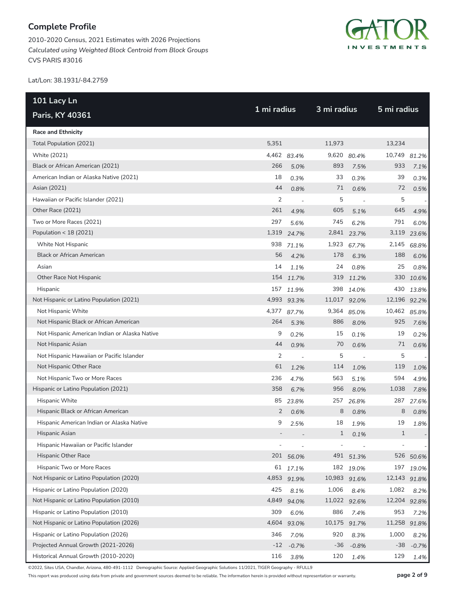2010-2020 Census, 2021 Estimates with 2026 Projections *Calculated using Weighted Block Centroid from Block Groups* CVS PARIS #3016



Lat/Lon: 38.1931/-84.2759

| 101 Lacy Ln                                   | 1 mi radius |                          |              | 3 mi radius              |              |         |
|-----------------------------------------------|-------------|--------------------------|--------------|--------------------------|--------------|---------|
| Paris, KY 40361                               |             |                          |              |                          | 5 mi radius  |         |
| <b>Race and Ethnicity</b>                     |             |                          |              |                          |              |         |
| Total Population (2021)                       | 5,351       |                          | 11,973       |                          | 13,234       |         |
| White (2021)                                  |             | 4,462 83.4%              | 9,620        | 80.4%                    | 10,749       | 81.2%   |
| Black or African American (2021)              | 266         | 5.0%                     | 893          | 7.5%                     | 933          | 7.1%    |
| American Indian or Alaska Native (2021)       | 18          | 0.3%                     | 33           | 0.3%                     | 39           | 0.3%    |
| Asian (2021)                                  | 44          | 0.8%                     | 71           | 0.6%                     | 72           | 0.5%    |
| Hawaiian or Pacific Islander (2021)           | 2           | $\overline{\phantom{a}}$ | 5            | $\overline{\phantom{a}}$ | 5            |         |
| Other Race (2021)                             | 261         | 4.9%                     | 605          | 5.1%                     | 645          | 4.9%    |
| Two or More Races (2021)                      | 297         | 5.6%                     | 745          | 6.2%                     | 791          | 6.0%    |
| Population < 18 (2021)                        |             | 1,319 24.7%              |              | 2,841 23.7%              | 3,119        | 23.6%   |
| White Not Hispanic                            | 938         | 71.1%                    | 1,923        | 67.7%                    | 2,145        | 68.8%   |
| <b>Black or African American</b>              | 56          | 4.2%                     | 178          | 6.3%                     | 188          | 6.0%    |
| Asian                                         | 14          | 1.1%                     | 24           | 0.8%                     | 25           | 0.8%    |
| Other Race Not Hispanic                       | 154         | 11.7%                    |              | 319 11.2%                | 330          | 10.6%   |
| Hispanic                                      | 157         | 11.9%                    | 398          | 14.0%                    | 430          | 13.8%   |
| Not Hispanic or Latino Population (2021)      |             | 4,993 93.3%              | 11,017 92.0% |                          | 12,196 92.2% |         |
| Not Hispanic White                            | 4,377       | 87.7%                    | 9,364        | 85.0%                    | 10,462 85.8% |         |
| Not Hispanic Black or African American        | 264         | 5.3%                     | 886          | 8.0%                     | 925          | 7.6%    |
| Not Hispanic American Indian or Alaska Native | 9           | 0.2%                     | 15           | 0.1%                     | 19           | 0.2%    |
| Not Hispanic Asian                            | 44          | 0.9%                     | 70           | 0.6%                     | 71           | 0.6%    |
| Not Hispanic Hawaiian or Pacific Islander     | 2           | $\overline{a}$           | 5            | $\overline{\phantom{a}}$ | 5            |         |
| Not Hispanic Other Race                       | 61          | 1.2%                     | 114          | 1.0%                     | 119          | 1.0%    |
| Not Hispanic Two or More Races                | 236         | 4.7%                     | 563          | 5.1%                     | 594          | 4.9%    |
| Hispanic or Latino Population (2021)          | 358         | 6.7%                     | 956          | 8.0%                     | 1,038        | 7.8%    |
| Hispanic White                                | 85          | 23.8%                    | 257          | 26.8%                    | 287          | 27.6%   |
| Hispanic Black or African American            | 2           | 0.6%                     | 8            | 0.8%                     | 8            | 0.8%    |
| Hispanic American Indian or Alaska Native     | 9           | 2.5%                     | 18           | 1.9%                     | 19           | 1.8%    |
| Hispanic Asian                                |             |                          | $1\,$        | 0.1%                     | $1\,$        |         |
| Hispanic Hawaiian or Pacific Islander         |             |                          |              |                          |              |         |
| Hispanic Other Race                           |             | 201 56.0%                | 491          | 51.3%                    | 526          | 50.6%   |
| Hispanic Two or More Races                    | 61          | 17.1%                    |              | 182 19.0%                | 197          | 19.0%   |
| Not Hispanic or Latino Population (2020)      | 4,853       | 91.9%                    | 10,983 91.6% |                          | 12,143 91.8% |         |
| Hispanic or Latino Population (2020)          | 425         | 8.1%                     | 1,006        | 8.4%                     | 1,082        | 8.2%    |
| Not Hispanic or Latino Population (2010)      | 4,849       | 94.0%                    | 11,022 92.6% |                          | 12,204 92.8% |         |
| Hispanic or Latino Population (2010)          | 309         | 6.0%                     | 886          | 7.4%                     | 953          | 7.2%    |
| Not Hispanic or Latino Population (2026)      | 4,604       | 93.0%                    | 10,175 91.7% |                          | 11,258 91.8% |         |
| Hispanic or Latino Population (2026)          | 346         | 7.0%                     | 920          | 8.3%                     | 1,000        | 8.2%    |
| Projected Annual Growth (2021-2026)           | $-12$       | $-0.7%$                  | $-36$        | $-0.8%$                  | $-38$        | $-0.7%$ |
| Historical Annual Growth (2010-2020)          | 116         | 3.8%                     | 120          | 1.4%                     | 129          | 1.4%    |

©2022, Sites USA, Chandler, Arizona, 480-491-1112 Demographic Source: Applied Geographic Solutions 11/2021, TIGER Geography - RFULL9

This report was produced using data from private and government sources deemed to be reliable. The information herein is provided without representation or warranty. **page 2 of 9**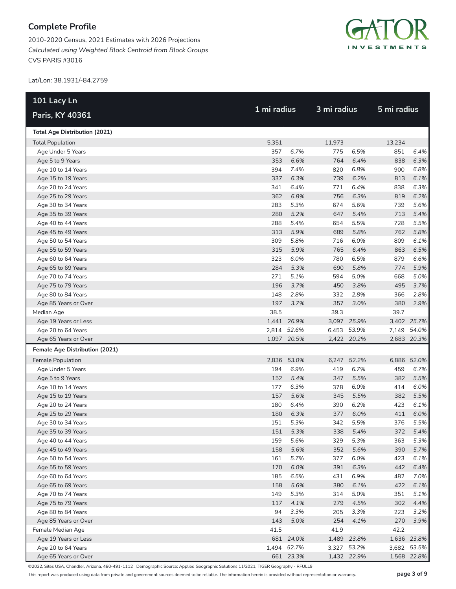2010-2020 Census, 2021 Estimates with 2026 Projections *Calculated using Weighted Block Centroid from Block Groups* CVS PARIS #3016



Lat/Lon: 38.1931/-84.2759

| 101 Lacy Ln                          |       |             |        |             |        |             |  |
|--------------------------------------|-------|-------------|--------|-------------|--------|-------------|--|
| Paris, KY 40361                      |       | 1 mi radius |        | 3 mi radius |        | 5 mi radius |  |
| <b>Total Age Distribution (2021)</b> |       |             |        |             |        |             |  |
| <b>Total Population</b>              | 5,351 |             | 11,973 |             | 13,234 |             |  |
| Age Under 5 Years                    | 357   | 6.7%        | 775    | 6.5%        | 851    | 6.4%        |  |
| Age 5 to 9 Years                     | 353   | 6.6%        | 764    | 6.4%        | 838    | 6.3%        |  |
| Age 10 to 14 Years                   | 394   | 7.4%        | 820    | 6.8%        | 900    | 6.8%        |  |
| Age 15 to 19 Years                   | 337   | 6.3%        | 739    | 6.2%        | 813    | 6.1%        |  |
| Age 20 to 24 Years                   | 341   | 6.4%        | 771    | 6.4%        | 838    | 6.3%        |  |
| Age 25 to 29 Years                   | 362   | 6.8%        | 756    | 6.3%        | 819    | 6.2%        |  |
| Age 30 to 34 Years                   | 283   | 5.3%        | 674    | 5.6%        | 739    | 5.6%        |  |
| Age 35 to 39 Years                   | 280   | 5.2%        | 647    | 5.4%        | 713    | 5.4%        |  |
| Age 40 to 44 Years                   | 288   | 5.4%        | 654    | 5.5%        | 728    | 5.5%        |  |
| Age 45 to 49 Years                   | 313   | 5.9%        | 689    | 5.8%        | 762    | 5.8%        |  |
| Age 50 to 54 Years                   | 309   | 5.8%        | 716    | 6.0%        | 809    | 6.1%        |  |
| Age 55 to 59 Years                   | 315   | 5.9%        | 765    | 6.4%        | 863    | 6.5%        |  |
| Age 60 to 64 Years                   | 323   | 6.0%        | 780    | 6.5%        | 879    | 6.6%        |  |
| Age 65 to 69 Years                   | 284   | 5.3%        | 690    | 5.8%        | 774    | 5.9%        |  |
| Age 70 to 74 Years                   | 271   | 5.1%        | 594    | 5.0%        | 668    | 5.0%        |  |
| Age 75 to 79 Years                   | 196   | 3.7%        | 450    | 3.8%        | 495    | 3.7%        |  |
| Age 80 to 84 Years                   | 148   | 2.8%        | 332    | 2.8%        | 366    | 2.8%        |  |
| Age 85 Years or Over                 | 197   | 3.7%        | 357    | 3.0%        | 380    | 2.9%        |  |
| Median Age                           | 38.5  |             | 39.3   |             | 39.7   |             |  |
| Age 19 Years or Less                 |       | 1,441 26.9% |        | 3,097 25.9% |        | 3,402 25.7% |  |
| Age 20 to 64 Years                   |       | 2,814 52.6% |        | 6,453 53.9% |        | 7,149 54.0% |  |
| Age 65 Years or Over                 |       | 1,097 20.5% |        | 2,422 20.2% |        | 2,683 20.3% |  |
| Female Age Distribution (2021)       |       |             |        |             |        |             |  |
| Female Population                    |       | 2,836 53.0% | 6,247  | 52.2%       |        | 6,886 52.0% |  |
| Age Under 5 Years                    | 194   | 6.9%        | 419    | 6.7%        | 459    | 6.7%        |  |
| Age 5 to 9 Years                     | 152   | 5.4%        | 347    | 5.5%        | 382    | 5.5%        |  |
| Age 10 to 14 Years                   | 177   | 6.3%        | 378    | 6.0%        | 414    | 6.0%        |  |
| Age 15 to 19 Years                   | 157   | 5.6%        | 345    | 5.5%        | 382    | 5.5%        |  |
| Age 20 to 24 Years                   | 180   | 6.4%        | 390    | 6.2%        | 423    | 6.1%        |  |
| Age 25 to 29 Years                   | 180   | 6.3%        | 377    | 6.0%        | 411    | 6.0%        |  |
| Age 30 to 34 Years                   | 151   | 5.3%        | 342    | 5.5%        | 376    | 5.5%        |  |
| Age 35 to 39 Years                   | 151   | 5.3%        | 338    | 5.4%        | 372    | 5.4%        |  |
| Age 40 to 44 Years                   | 159   | 5.6%        | 329    | 5.3%        | 363    | 5.3%        |  |
| Age 45 to 49 Years                   | 158   | 5.6%        | 352    | 5.6%        | 390    | 5.7%        |  |
| Age 50 to 54 Years                   | 161   | 5.7%        | 377    | 6.0%        | 423    | 6.1%        |  |
| Age 55 to 59 Years                   | 170   | 6.0%        | 391    | 6.3%        | 442    | 6.4%        |  |
| Age 60 to 64 Years                   | 185   | 6.5%        | 431    | 6.9%        | 482    | 7.0%        |  |
| Age 65 to 69 Years                   | 158   | 5.6%        | 380    | 6.1%        | 422    | 6.1%        |  |
| Age 70 to 74 Years                   | 149   | 5.3%        | 314    | 5.0%        | 351    | 5.1%        |  |
| Age 75 to 79 Years                   | 117   | 4.1%        | 279    | 4.5%        | 302    | 4.4%        |  |
| Age 80 to 84 Years                   | 94    | 3.3%        | 205    | 3.3%        | 223    | 3.2%        |  |
| Age 85 Years or Over                 | 143   | 5.0%        | 254    | 4.1%        | 270    | 3.9%        |  |
| Female Median Age                    | 41.5  |             | 41.9   |             | 42.2   |             |  |
| Age 19 Years or Less                 |       | 681 24.0%   |        | 1,489 23.8% |        | 1,636 23.8% |  |
| Age 20 to 64 Years                   |       | 1,494 52.7% |        | 3,327 53.2% |        | 3,682 53.5% |  |
| Age 65 Years or Over                 |       | 661 23.3%   |        | 1,432 22.9% |        | 1,568 22.8% |  |

©2022, Sites USA, Chandler, Arizona, 480-491-1112 Demographic Source: Applied Geographic Solutions 11/2021, TIGER Geography - RFULL9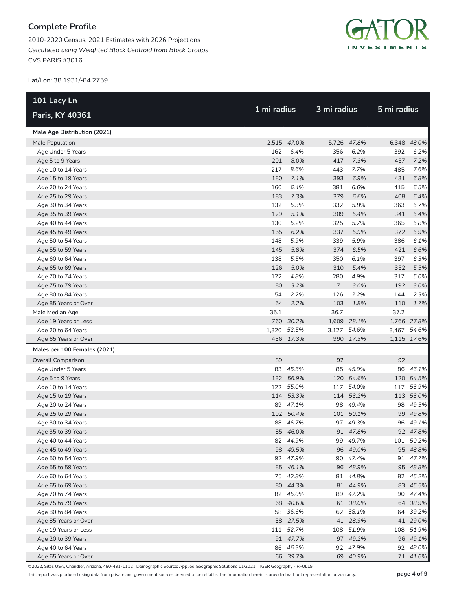2010-2020 Census, 2021 Estimates with 2026 Projections *Calculated using Weighted Block Centroid from Block Groups* CVS PARIS #3016



Lat/Lon: 38.1931/-84.2759

| 101 Lacy Ln                  |             |             |             |             | 5 mi radius |             |  |
|------------------------------|-------------|-------------|-------------|-------------|-------------|-------------|--|
| Paris, KY 40361              | 1 mi radius |             | 3 mi radius |             |             |             |  |
| Male Age Distribution (2021) |             |             |             |             |             |             |  |
| Male Population              |             | 2,515 47.0% |             | 5,726 47.8% |             | 6,348 48.0% |  |
| Age Under 5 Years            | 162         | 6.4%        | 356         | 6.2%        | 392         | 6.2%        |  |
| Age 5 to 9 Years             | 201         | 8.0%        | 417         | 7.3%        | 457         | 7.2%        |  |
| Age 10 to 14 Years           | 217         | 8.6%        | 443         | 7.7%        | 485         | 7.6%        |  |
| Age 15 to 19 Years           | 180         | 7.1%        | 393         | 6.9%        | 431         | 6.8%        |  |
| Age 20 to 24 Years           | 160         | 6.4%        | 381         | 6.6%        | 415         | 6.5%        |  |
| Age 25 to 29 Years           | 183         | 7.3%        | 379         | 6.6%        | 408         | 6.4%        |  |
| Age 30 to 34 Years           | 132         | 5.3%        | 332         | 5.8%        | 363         | 5.7%        |  |
| Age 35 to 39 Years           | 129         | 5.1%        | 309         | 5.4%        | 341         | 5.4%        |  |
| Age 40 to 44 Years           | 130         | 5.2%        | 325         | 5.7%        | 365         | 5.8%        |  |
| Age 45 to 49 Years           | 155         | 6.2%        | 337         | 5.9%        | 372         | 5.9%        |  |
| Age 50 to 54 Years           | 148         | 5.9%        | 339         | 5.9%        | 386         | 6.1%        |  |
| Age 55 to 59 Years           | 145         | 5.8%        | 374         | 6.5%        | 421         | 6.6%        |  |
| Age 60 to 64 Years           | 138         | 5.5%        | 350         | 6.1%        | 397         | 6.3%        |  |
| Age 65 to 69 Years           | 126         | 5.0%        | 310         | 5.4%        | 352         | 5.5%        |  |
| Age 70 to 74 Years           | 122         | 4.8%        | 280         | 4.9%        | 317         | 5.0%        |  |
| Age 75 to 79 Years           | 80          | 3.2%        | 171         | 3.0%        | 192         | 3.0%        |  |
| Age 80 to 84 Years           | 54          | 2.2%        | 126         | 2.2%        | 144         | 2.3%        |  |
| Age 85 Years or Over         | 54          | 2.2%        | 103         | 1.8%        | 110         | 1.7%        |  |
| Male Median Age              | 35.1        |             | 36.7        |             | 37.2        |             |  |
| Age 19 Years or Less         |             | 760 30.2%   |             | 1,609 28.1% |             | 1,766 27.8% |  |
| Age 20 to 64 Years           |             | 1,320 52.5% |             | 3,127 54.6% |             | 3,467 54.6% |  |
| Age 65 Years or Over         |             | 436 17.3%   |             | 990 17.3%   |             | 1,115 17.6% |  |
| Males per 100 Females (2021) |             |             |             |             |             |             |  |
| <b>Overall Comparison</b>    | 89          |             | 92          |             | 92          |             |  |
| Age Under 5 Years            |             | 83 45.5%    |             | 85 45.9%    |             | 86 46.1%    |  |
| Age 5 to 9 Years             |             | 132 56.9%   |             | 120 54.6%   |             | 120 54.5%   |  |
| Age 10 to 14 Years           |             | 122 55.0%   | 117         | 54.0%       |             | 117 53.9%   |  |
| Age 15 to 19 Years           |             | 114 53.3%   |             | 114 53.2%   |             | 113 53.0%   |  |
| Age 20 to 24 Years           |             | 89 47.1%    |             | 98 49.4%    |             | 98 49.5%    |  |
| Age 25 to 29 Years           |             | 102 50.4%   |             | 101 50.1%   |             | 99 49.8%    |  |
| Age 30 to 34 Years           |             | 88 46.7%    |             | 97 49.3%    |             | 96 49.1%    |  |
| Age 35 to 39 Years           |             | 85 46.0%    |             | 91 47.8%    |             | 92 47.8%    |  |
| Age 40 to 44 Years           |             | 82 44.9%    |             | 99 49.7%    |             | 101 50.2%   |  |
| Age 45 to 49 Years           |             | 98 49.5%    |             | 96 49.0%    |             | 95 48.8%    |  |
| Age 50 to 54 Years           |             | 92 47.9%    |             | 90 47.4%    |             | 91 47.7%    |  |
| Age 55 to 59 Years           |             | 85 46.1%    |             | 96 48.9%    |             | 95 48.8%    |  |
| Age 60 to 64 Years           |             | 75 42.8%    |             | 81 44.8%    |             | 82 45.2%    |  |
| Age 65 to 69 Years           |             | 80 44.3%    |             | 81 44.9%    |             | 83 45.5%    |  |
| Age 70 to 74 Years           |             | 82 45.0%    |             | 89 47.2%    |             | 90 47.4%    |  |
| Age 75 to 79 Years           |             | 68 40.6%    |             | 61 38.0%    |             | 64 38.9%    |  |
| Age 80 to 84 Years           |             | 58 36.6%    |             | 62 38.1%    |             | 64 39.2%    |  |
| Age 85 Years or Over         |             | 38 27.5%    |             | 41 28.9%    |             | 41 29.0%    |  |
| Age 19 Years or Less         |             | 111 52.7%   |             | 108 51.9%   |             | 108 51.9%   |  |
| Age 20 to 39 Years           |             | 91 47.7%    |             | 97 49.2%    |             | 96 49.1%    |  |
| Age 40 to 64 Years           |             | 86 46.3%    |             | 92 47.9%    |             | 92 48.0%    |  |
| Age 65 Years or Over         |             | 66 39.7%    |             | 69 40.9%    |             | 71 41.6%    |  |

©2022, Sites USA, Chandler, Arizona, 480-491-1112 Demographic Source: Applied Geographic Solutions 11/2021, TIGER Geography - RFULL9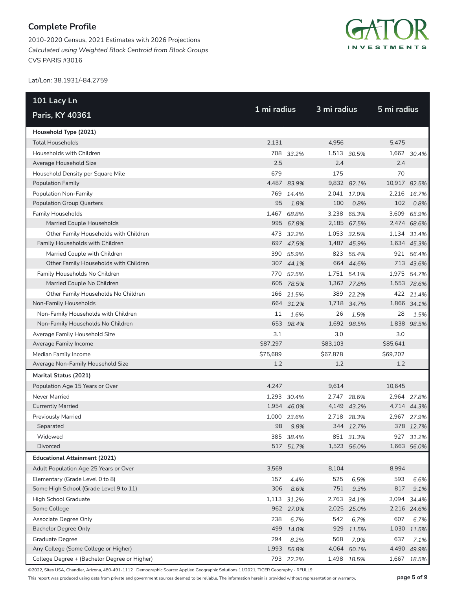2010-2020 Census, 2021 Estimates with 2026 Projections *Calculated using Weighted Block Centroid from Block Groups* CVS PARIS #3016



Lat/Lon: 38.1931/-84.2759

| 101 Lacy Ln                                  | 1 mi radius |             | 3 mi radius |             | 5 mi radius  |             |
|----------------------------------------------|-------------|-------------|-------------|-------------|--------------|-------------|
| Paris, KY 40361                              |             |             |             |             |              |             |
| Household Type (2021)                        |             |             |             |             |              |             |
| <b>Total Households</b>                      | 2,131       |             | 4,956       |             | 5,475        |             |
| Households with Children                     |             | 708 33.2%   |             | 1,513 30.5% |              | 1,662 30.4% |
| Average Household Size                       | 2.5         |             | 2.4         |             | 2.4          |             |
| Household Density per Square Mile            | 679         |             | 175         |             | 70           |             |
| <b>Population Family</b>                     |             | 4,487 83.9% |             | 9,832 82.1% | 10,917 82.5% |             |
| Population Non-Family                        | 769         | 14.4%       |             | 2,041 17.0% |              | 2,216 16.7% |
| <b>Population Group Quarters</b>             | 95          | 1.8%        | 100         | 0.8%        | 102          | 0.8%        |
| <b>Family Households</b>                     | 1,467       | 68.8%       |             | 3,238 65.3% |              | 3,609 65.9% |
| Married Couple Households                    | 995         | 67.8%       |             | 2,185 67.5% |              | 2,474 68.6% |
| Other Family Households with Children        |             | 473 32.2%   |             | 1,053 32.5% |              | 1,134 31.4% |
| Family Households with Children              |             | 697 47.5%   |             | 1,487 45.9% |              | 1,634 45.3% |
| Married Couple with Children                 | 390         | 55.9%       |             | 823 55.4%   |              | 921 56.4%   |
| Other Family Households with Children        |             | 307 44.1%   |             | 664 44.6%   |              | 713 43.6%   |
| Family Households No Children                |             | 770 52.5%   |             | 1,751 54.1% |              | 1,975 54.7% |
| Married Couple No Children                   |             | 605 78.5%   |             | 1,362 77.8% |              | 1,553 78.6% |
| Other Family Households No Children          | 166         | 21.5%       | 389         | 22.2%       |              | 422 21.4%   |
| Non-Family Households                        |             | 664 31.2%   |             | 1,718 34.7% |              | 1,866 34.1% |
| Non-Family Households with Children          | 11          | 1.6%        | 26          | 1.5%        | 28           | 1.5%        |
| Non-Family Households No Children            | 653         | 98.4%       | 1,692       | 98.5%       |              | 1,838 98.5% |
| Average Family Household Size                | 3.1         |             | 3.0         |             | 3.0          |             |
| Average Family Income                        | \$87,297    |             | \$83,103    |             | \$85,641     |             |
| Median Family Income                         | \$75,689    |             | \$67,878    |             | \$69,202     |             |
| Average Non-Family Household Size            | 1.2         |             | 1.2         |             | 1.2          |             |
| Marital Status (2021)                        |             |             |             |             |              |             |
| Population Age 15 Years or Over              | 4,247       |             | 9,614       |             | 10,645       |             |
| Never Married                                |             | 1,293 30.4% |             | 2,747 28.6% |              | 2,964 27.8% |
| <b>Currently Married</b>                     |             | 1,954 46.0% |             | 4,149 43.2% |              | 4,714 44.3% |
| <b>Previously Married</b>                    |             | 1,000 23.6% |             | 2,718 28.3% |              | 2,967 27.9% |
| Separated                                    | 98          | 9.8%        |             | 344 12.7%   |              | 378 12.7%   |
| Widowed                                      |             | 385 38.4%   |             | 851 31.3%   |              | 927 31.2%   |
| Divorced                                     |             | 517 51.7%   |             | 1,523 56.0% |              | 1,663 56.0% |
| <b>Educational Attainment (2021)</b>         |             |             |             |             |              |             |
| Adult Population Age 25 Years or Over        | 3,569       |             | 8,104       |             | 8,994        |             |
| Elementary (Grade Level 0 to 8)              | 157         | 4.4%        | 525         | 6.5%        | 593          | 6.6%        |
| Some High School (Grade Level 9 to 11)       | 306         | 8.6%        | 751         | 9.3%        | 817          | 9.1%        |
| High School Graduate                         |             | 1,113 31.2% |             | 2,763 34.1% | 3,094        | 34.4%       |
| Some College                                 | 962         | 27.0%       |             | 2,025 25.0% |              | 2,216 24.6% |
| Associate Degree Only                        | 238         | 6.7%        | 542         | 6.7%        | 607          | 6.7%        |
| <b>Bachelor Degree Only</b>                  | 499         | 14.0%       | 929         | 11.5%       | 1,030        | 11.5%       |
| Graduate Degree                              | 294         | 8.2%        | 568         | 7.0%        | 637          | 7.1%        |
| Any College (Some College or Higher)         | 1,993       | 55.8%       | 4,064       | 50.1%       |              | 4,490 49.9% |
| College Degree + (Bachelor Degree or Higher) |             | 793 22.2%   |             | 1,498 18.5% | 1,667        | 18.5%       |

©2022, Sites USA, Chandler, Arizona, 480-491-1112 Demographic Source: Applied Geographic Solutions 11/2021, TIGER Geography - RFULL9

This report was produced using data from private and government sources deemed to be reliable. The information herein is provided without representation or warranty. **page 5 of 9**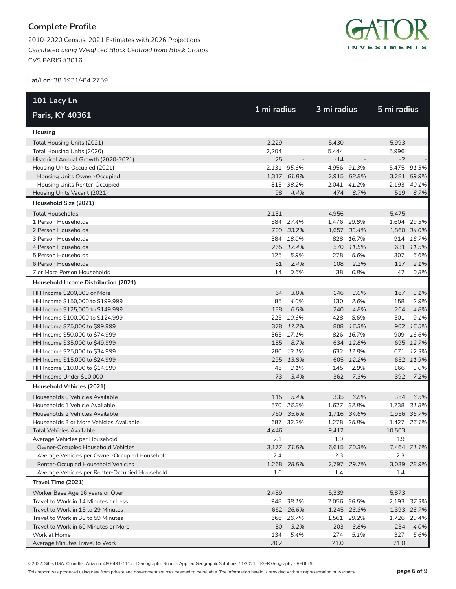2010-2020 Census, 2021 Estimates with 2026 Projections *Calculated using Weighted Block Centroid from Block Groups* CVS PARIS #3016



Lat/Lon: 38.1931/-84.2759

| 101 Lacy Ln                                    |             |             | 3 mi radius |             |             |             |
|------------------------------------------------|-------------|-------------|-------------|-------------|-------------|-------------|
| Paris, KY 40361                                | 1 mi radius |             |             |             | 5 mi radius |             |
| Housing                                        |             |             |             |             |             |             |
| Total Housing Units (2021)                     | 2,229       |             | 5,430       |             | 5,993       |             |
| Total Housing Units (2020)                     | 2,204       |             | 5,444       |             | 5,996       |             |
| Historical Annual Growth (2020-2021)           | 25          |             | $-14$       |             | $-2$        |             |
| Housing Units Occupied (2021)                  |             | 2,131 95.6% |             | 4,956 91.3% |             | 5,475 91.3% |
| Housing Units Owner-Occupied                   |             | 1,317 61.8% |             | 2,915 58.8% |             | 3,281 59.9% |
| Housing Units Renter-Occupied                  |             | 815 38.2%   |             | 2,041 41.2% |             | 2,193 40.1% |
| Housing Units Vacant (2021)                    | 98          | 4.4%        | 474         | 8.7%        | 519         | 8.7%        |
| Household Size (2021)                          |             |             |             |             |             |             |
| <b>Total Households</b>                        | 2,131       |             | 4,956       |             | 5,475       |             |
| 1 Person Households                            |             | 584 27.4%   |             | 1,476 29.8% |             | 1,604 29.3% |
| 2 Person Households                            |             | 709 33.2%   |             | 1,657 33.4% |             | 1,860 34.0% |
| 3 Person Households                            |             | 384 18.0%   |             | 828 16.7%   |             | 914 16.7%   |
| 4 Person Households                            |             | 265 12.4%   |             | 570 11.5%   |             | 631 11.5%   |
| 5 Person Households                            | 125         | 5.9%        | 278         | 5.6%        | 307         | 5.6%        |
| 6 Person Households                            | 51          | 2.4%        | 108         | 2.2%        | 117         | 2.1%        |
| 7 or More Person Households                    | 14          | 0.6%        | 38          | 0.8%        | 42          | 0.8%        |
| Household Income Distribution (2021)           |             |             |             |             |             |             |
| HH Income \$200,000 or More                    | 64          | 3.0%        | 146         | 3.0%        | 167         | 3.1%        |
| HH Income \$150,000 to \$199,999               | 85          | 4.0%        | 130         | 2.6%        | 158         | 2.9%        |
| HH Income \$125,000 to \$149,999               | 138         | 6.5%        | 240         | 4.8%        | 264         | 4.8%        |
| HH Income \$100,000 to \$124,999               |             | 225 10.6%   | 428         | 8.6%        | 501         | 9.1%        |
| HH Income \$75,000 to \$99,999                 |             | 378 17.7%   |             | 808 16.3%   |             | 902 16.5%   |
| HH Income \$50,000 to \$74,999                 |             | 365 17.1%   |             | 826 16.7%   |             | 909 16.6%   |
| HH Income \$35,000 to \$49,999                 | 185         | 8.7%        |             | 634 12.8%   |             | 695 12.7%   |
| HH Income \$25,000 to \$34,999                 |             | 280 13.1%   |             | 632 12.8%   |             | 671 12.3%   |
| HH Income \$15,000 to \$24,999                 |             | 295 13.8%   |             | 605 12.2%   |             | 652 11.9%   |
| HH Income \$10,000 to \$14,999                 | 45          | 2.1%        | 145         | 2.9%        | 166         | 3.0%        |
| HH Income Under \$10,000                       | 73          | 3.4%        | 362         | 7.3%        | 392         | 7.2%        |
| Household Vehicles (2021)                      |             |             |             |             |             |             |
| Households 0 Vehicles Available                | 115         | 5.4%        | 335         | 6.8%        | 354         | 6.5%        |
| Households 1 Vehicle Available                 |             | 570 26.8%   |             | 1,627 32.8% |             | 1,738 31.8% |
| Households 2 Vehicles Available                |             | 760 35.6%   |             | 1,716 34.6% |             | 1,956 35.7% |
| Households 3 or More Vehicles Available        |             | 687 32.2%   |             | 1,278 25.8% |             | 1,427 26.1% |
| Total Vehicles Available                       | 4,446       |             | 9.412       |             | 10,503      |             |
| Average Vehicles per Household                 | 2.1         |             | 1.9         |             | 1.9         |             |
| Owner-Occupied Household Vehicles              |             | 3,177 71.5% |             | 6,615 70.3% |             | 7,464 71.1% |
| Average Vehicles per Owner-Occupied Household  | 2.4         |             | 2.3         |             | 2.3         |             |
| Renter-Occupied Household Vehicles             |             | 1,268 28.5% | 2,797       | 29.7%       |             | 3,039 28.9% |
| Average Vehicles per Renter-Occupied Household | 1.6         |             | 1.4         |             | 1.4         |             |
| Travel Time (2021)                             |             |             |             |             |             |             |
| Worker Base Age 16 years or Over               | 2,489       |             | 5,339       |             | 5,873       |             |
| Travel to Work in 14 Minutes or Less           |             | 948 38.1%   |             | 2,056 38.5% |             | 2,193 37.3% |
| Travel to Work in 15 to 29 Minutes             |             | 662 26.6%   |             | 1,245 23.3% |             | 1,393 23.7% |
| Travel to Work in 30 to 59 Minutes             |             | 666 26.7%   |             | 1,561 29.2% |             | 1,726 29.4% |
| Travel to Work in 60 Minutes or More           | 80          | 3.2%        | 203         | 3.8%        | 234         | 4.0%        |
| Work at Home                                   | 134         | 5.4%        | 274         | 5.1%        | 327         | 5.6%        |
| Average Minutes Travel to Work                 | 20.2        |             | 21.0        |             | 21.0        |             |

©2022, Sites USA, Chandler, Arizona, 480-491-1112 Demographic Source: Applied Geographic Solutions 11/2021, TIGER Geography - RFULL9

This report was produced using data from private and government sources deemed to be reliable. The information herein is provided without representation or warranty. **page 6 of 9**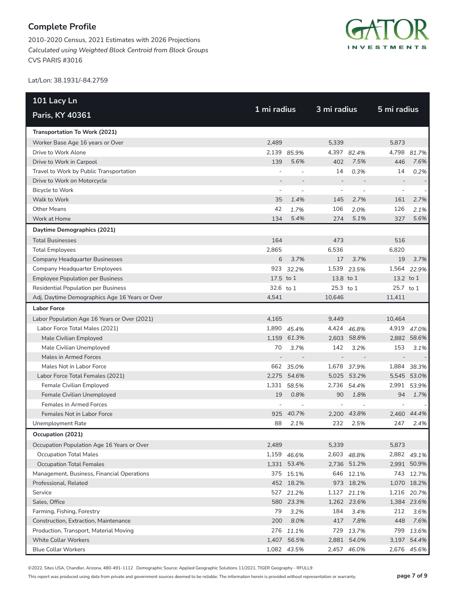2010-2020 Census, 2021 Estimates with 2026 Projections *Calculated using Weighted Block Centroid from Block Groups* CVS PARIS #3016



Lat/Lon: 38.1931/-84.2759

| 101 Lacy Ln                                    | 1 mi radius              |             | 3 mi radius              |             |           |             |  |  |
|------------------------------------------------|--------------------------|-------------|--------------------------|-------------|-----------|-------------|--|--|
| Paris, KY 40361                                |                          |             |                          |             |           | 5 mi radius |  |  |
| Transportation To Work (2021)                  |                          |             |                          |             |           |             |  |  |
| Worker Base Age 16 years or Over               | 2.489                    |             | 5,339                    |             | 5,873     |             |  |  |
| Drive to Work Alone                            |                          | 2,139 85.9% |                          | 4,397 82.4% | 4,798     | 81.7%       |  |  |
| Drive to Work in Carpool                       | 139                      | 5.6%        | 402                      | 7.5%        | 446       | 7.6%        |  |  |
| Travel to Work by Public Transportation        |                          |             | 14                       | 0.3%        | 14        | 0.2%        |  |  |
| Drive to Work on Motorcycle                    |                          |             | $\overline{a}$           |             |           |             |  |  |
| <b>Bicycle to Work</b>                         | $\overline{\phantom{a}}$ |             | $\overline{\phantom{a}}$ |             |           |             |  |  |
| Walk to Work                                   | 35                       | 1.4%        | 145                      | 2.7%        | 161       | 2.7%        |  |  |
| <b>Other Means</b>                             | 42                       | 1.7%        | 106                      | 2.0%        | 126       | 2.1%        |  |  |
| Work at Home                                   | 134                      | 5.4%        | 274                      | 5.1%        | 327       | 5.6%        |  |  |
| Daytime Demographics (2021)                    |                          |             |                          |             |           |             |  |  |
| <b>Total Businesses</b>                        | 164                      |             | 473                      |             | 516       |             |  |  |
| <b>Total Employees</b>                         | 2,865                    |             | 6,536                    |             | 6,820     |             |  |  |
| Company Headquarter Businesses                 | 6                        | 3.7%        | 17                       | 3.7%        | 19        | 3.7%        |  |  |
| <b>Company Headquarter Employees</b>           |                          | 923 32.2%   |                          | 1,539 23.5% |           | 1,564 22.9% |  |  |
| <b>Employee Population per Business</b>        | 17.5 to 1                |             | 13.8 to 1                |             | 13.2 to 1 |             |  |  |
| Residential Population per Business            | 32.6 to 1                |             | 25.3 to 1                |             | 25.7 to 1 |             |  |  |
| Adj. Daytime Demographics Age 16 Years or Over | 4,541                    |             | 10,646                   |             | 11,411    |             |  |  |
| <b>Labor Force</b>                             |                          |             |                          |             |           |             |  |  |
| Labor Population Age 16 Years or Over (2021)   | 4,165                    |             | 9.449                    |             | 10,464    |             |  |  |
| Labor Force Total Males (2021)                 |                          | 1,890 45.4% |                          | 4,424 46.8% |           | 4,919 47.0% |  |  |
| Male Civilian Employed                         |                          | 1,159 61.3% |                          | 2,603 58.8% |           | 2,882 58.6% |  |  |
| Male Civilian Unemployed                       | 70                       | 3.7%        | 142                      | 3.2%        | 153       | 3.1%        |  |  |
| Males in Armed Forces                          |                          |             | $\overline{a}$           |             |           |             |  |  |
| Males Not in Labor Force                       |                          | 662 35.0%   |                          | 1,678 37.9% |           | 1,884 38.3% |  |  |
| Labor Force Total Females (2021)               |                          | 2,275 54.6% |                          | 5,025 53.2% |           | 5,545 53.0% |  |  |
| Female Civilian Employed                       |                          | 1,331 58.5% |                          | 2,736 54.4% |           | 2,991 53.9% |  |  |
| Female Civilian Unemployed                     | 19                       | 0.8%        | 90                       | 1.8%        | 94        | 1.7%        |  |  |
| <b>Females in Armed Forces</b>                 |                          |             |                          |             |           |             |  |  |
| Females Not in Labor Force                     |                          | 925 40.7%   |                          | 2,200 43.8% |           | 2.460 44.4% |  |  |
| Unemployment Rate                              | 88                       | 2.1%        | 232                      | 2.5%        | 247       | 2.4%        |  |  |
| Occupation (2021)                              |                          |             |                          |             |           |             |  |  |
| Occupation Population Age 16 Years or Over     | 2,489                    |             | 5,339                    |             | 5,873     |             |  |  |
| <b>Occupation Total Males</b>                  |                          | 1,159 46.6% |                          | 2,603 48.8% |           | 2,882 49.1% |  |  |
| <b>Occupation Total Females</b>                |                          | 1,331 53.4% |                          | 2,736 51.2% |           | 2,991 50.9% |  |  |
| Management, Business, Financial Operations     |                          | 375 15.1%   |                          | 646 12.1%   |           | 743 12.7%   |  |  |
| Professional, Related                          |                          | 452 18.2%   |                          | 973 18.2%   |           | 1,070 18.2% |  |  |
| Service                                        |                          | 527 21.2%   |                          | 1,127 21.1% |           | 1,216 20.7% |  |  |
| Sales, Office                                  |                          | 580 23.3%   |                          | 1,262 23.6% |           | 1,384 23.6% |  |  |
| Farming, Fishing, Forestry                     | 79                       | 3.2%        | 184                      | 3.4%        | 212       | 3.6%        |  |  |
| Construction, Extraction, Maintenance          | 200                      | 8.0%        | 417                      | 7.8%        | 448       | 7.6%        |  |  |
| Production, Transport, Material Moving         |                          | 276 11.1%   |                          | 729 13.7%   |           | 799 13.6%   |  |  |
| <b>White Collar Workers</b>                    |                          | 1,407 56.5% |                          | 2,881 54.0% |           | 3,197 54.4% |  |  |
| <b>Blue Collar Workers</b>                     |                          | 1,082 43.5% |                          | 2,457 46.0% |           | 2,676 45.6% |  |  |

©2022, Sites USA, Chandler, Arizona, 480-491-1112 Demographic Source: Applied Geographic Solutions 11/2021, TIGER Geography - RFULL9

This report was produced using data from private and government sources deemed to be reliable. The information herein is provided without representation or warranty. **page 7 of 9**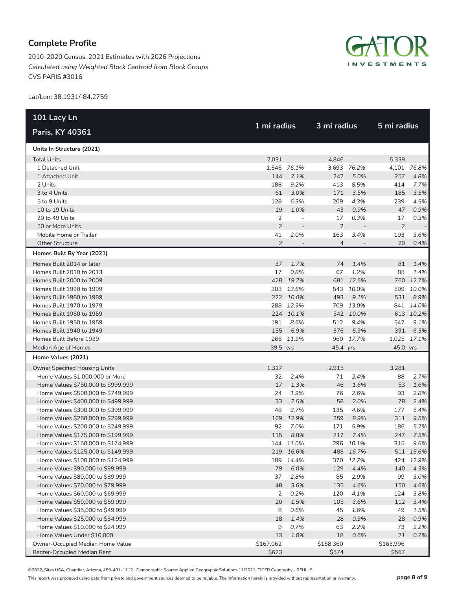2010-2020 Census, 2021 Estimates with 2026 Projections *Calculated using Weighted Block Centroid from Block Groups* CVS PARIS #3016



Lat/Lon: 38.1931/-84.2759

| 101 Lacy Ln                          |                |                          |                |             | 5 mi radius    |             |
|--------------------------------------|----------------|--------------------------|----------------|-------------|----------------|-------------|
| Paris, KY 40361                      |                | 1 mi radius              |                | 3 mi radius |                |             |
| Units In Structure (2021)            |                |                          |                |             |                |             |
| <b>Total Units</b>                   | 2,031          |                          | 4,846          |             | 5,339          |             |
| 1 Detached Unit                      |                | 1,546 76.1%              |                | 3,693 76.2% |                | 4,101 76.8% |
| 1 Attached Unit                      | 144            | 7.1%                     | 242            | 5.0%        | 257            | 4.8%        |
| 2 Units                              | 188            | 9.2%                     | 413            | 8.5%        | 414            | 7.7%        |
| 3 to 4 Units                         | 61             | 3.0%                     | 171            | 3.5%        | 185            | 3.5%        |
| 5 to 9 Units                         | 128            | 6.3%                     | 209            | 4.3%        | 239            | 4.5%        |
| 10 to 19 Units                       | 19             | 1.0%                     | 43             | 0.9%        | 47             | 0.9%        |
| 20 to 49 Units                       | 2              | $\overline{\phantom{a}}$ | 17             | 0.3%        | 17             | 0.3%        |
| 50 or More Units                     | $\overline{2}$ |                          | $\overline{2}$ |             | $\overline{2}$ |             |
| Mobile Home or Trailer               | 41             | 2.0%                     | 163            | 3.4%        | 193            | 3.6%        |
| <b>Other Structure</b>               | $\overline{2}$ | $\overline{\phantom{a}}$ | $\overline{4}$ |             | 20             | 0.4%        |
| Homes Built By Year (2021)           |                |                          |                |             |                |             |
| Homes Built 2014 or later            | 37             | 1.7%                     | 74             | 1.4%        | 81             | 1.4%        |
| Homes Built 2010 to 2013             | 17             | 0.8%                     | 67             | 1.2%        | 85             | 1.4%        |
| Homes Built 2000 to 2009             |                | 428 19.2%                |                | 681 12.5%   |                | 760 12.7%   |
| Homes Built 1990 to 1999             |                | 303 13.6%                |                | 543 10.0%   | 599            | 10.0%       |
| Homes Built 1980 to 1989             |                | 222 10.0%                | 493            | 9.1%        | 531            | 8.9%        |
| Homes Built 1970 to 1979             |                | 288 12.9%                |                | 709 13.0%   |                | 841 14.0%   |
| Homes Built 1960 to 1969             |                | 224 10.1%                |                | 542 10.0%   |                | 613 10.2%   |
| Homes Built 1950 to 1959             | 191            | 8.6%                     | 512            | 9.4%        | 547            | 9.1%        |
| Homes Built 1940 to 1949             | 155            | 6.9%                     | 376            | 6.9%        | 391            | 6.5%        |
| Homes Built Before 1939              |                | 266 11.9%                |                | 960 17.7%   |                | 1,025 17.1% |
| Median Age of Homes                  | 39.5 yrs       |                          | 45.4 yrs       |             | 45.0 yrs       |             |
| Home Values (2021)                   |                |                          |                |             |                |             |
| <b>Owner Specified Housing Units</b> | 1,317          |                          | 2,915          |             | 3,281          |             |
| Home Values \$1,000,000 or More      | 32             | 2.4%                     | 71             | 2.4%        | 88             | 2.7%        |
| Home Values \$750,000 to \$999,999   | 17             | 1.3%                     | 46             | 1.6%        | 53             | 1.6%        |
| Home Values \$500,000 to \$749,999   | 24             | 1.9%                     | 76             | 2.6%        | 93             | 2.8%        |
| Home Values \$400,000 to \$499,999   | 33             | 2.5%                     | 58             | 2.0%        | 78             | 2.4%        |
| Home Values \$300,000 to \$399,999   | 48             | 3.7%                     | 135            | 4.6%        | 177            | 5.4%        |
| Home Values \$250,000 to \$299,999   | 169            | 12.9%                    | 259            | 8.9%        | 311            | 9.5%        |
| Home Values \$200,000 to \$249,999   | 92             | 7.0%                     | 171            | 5.9%        | 186            | 5.7%        |
| Home Values \$175,000 to \$199,999   | 115            | 8.8%                     | 217            | 7.4%        | 247            | 7.5%        |
| Home Values \$150,000 to \$174,999   |                | 144 11.0%                |                | 296 10.1%   | 315            | 9.6%        |
| Home Values \$125,000 to \$149,999   |                | 219 16.6%                |                | 488 16.7%   |                | 511 15.6%   |
| Home Values \$100,000 to \$124,999   | 189            | 14.4%                    |                | 370 12.7%   | 424            | 12.9%       |
| Home Values \$90,000 to \$99,999     | 79             | 6.0%                     | 129            | 4.4%        | 140            | 4.3%        |
| Home Values \$80,000 to \$89,999     | 37             | 2.8%                     | 85             | 2.9%        | 99             | 3.0%        |
| Home Values \$70,000 to \$79,999     | 48             | 3.6%                     | 135            | 4.6%        | 150            | 4.6%        |
| Home Values \$60,000 to \$69,999     | 2              | 0.2%                     | 120            | 4.1%        | 124            | 3.8%        |
| Home Values \$50,000 to \$59,999     | 20             | 1.5%                     | 105            | 3.6%        | 112            | 3.4%        |
| Home Values \$35,000 to \$49,999     | 8              | 0.6%                     | 45             | 1.6%        | 49             | 1.5%        |
| Home Values \$25,000 to \$34,999     | 18             | 1.4%                     | 28             | 0.9%        | 28             | 0.9%        |
| Home Values \$10,000 to \$24,999     | 9              | 0.7%                     | 63             | 2.2%        | 73             | 2.2%        |
| Home Values Under \$10,000           | 13             | 1.0%                     | 18             | 0.6%        | 21             | 0.7%        |
| Owner-Occupied Median Home Value     | \$167,062      |                          | \$158,360      |             | \$163,996      |             |
| Renter-Occupied Median Rent          | \$623          |                          | \$574          |             | \$567          |             |

©2022, Sites USA, Chandler, Arizona, 480-491-1112 Demographic Source: Applied Geographic Solutions 11/2021, TIGER Geography - RFULL9

This report was produced using data from private and government sources deemed to be reliable. The information herein is provided without representation or warranty. **page 8 of 9**